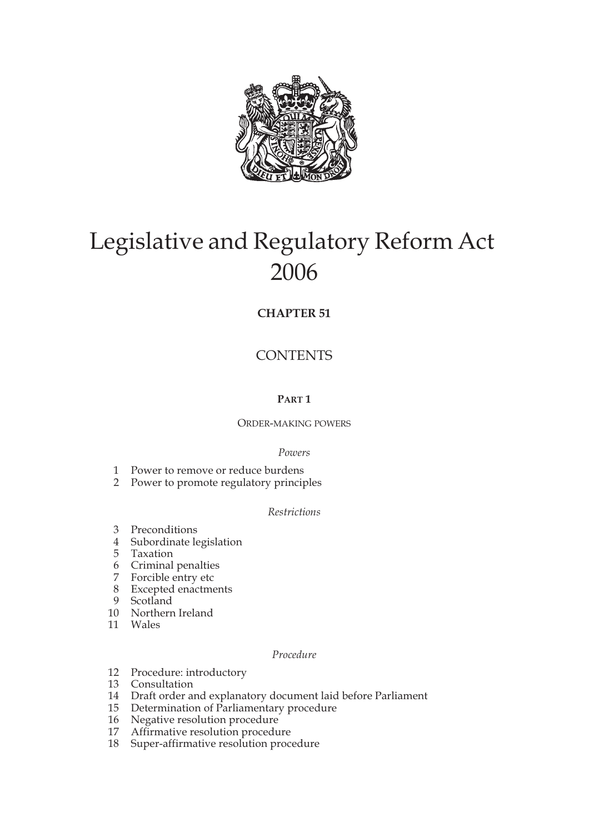

# Legislative and Regulatory Reform Act 2006

## **CHAPTER 51**

# **CONTENTS**

## **PART 1**

## ORDER-MAKING POWERS

## *Powers*

- 1 Power to remove or reduce burdens
- 2 Power to promote regulatory principles

#### *Restrictions*

- 3 Preconditions
- 4 Subordinate legislation
- 5 Taxation
- 6 Criminal penalties
- 7 Forcible entry etc
- 8 Excepted enactments
- 9 Scotland
- 10 Northern Ireland
- 11 Wales

#### *Procedure*

- 12 Procedure: introductory
- 13 Consultation
- 14 Draft order and explanatory document laid before Parliament
- 15 Determination of Parliamentary procedure
- 16 Negative resolution procedure
- 17 Affirmative resolution procedure
- 18 Super-affirmative resolution procedure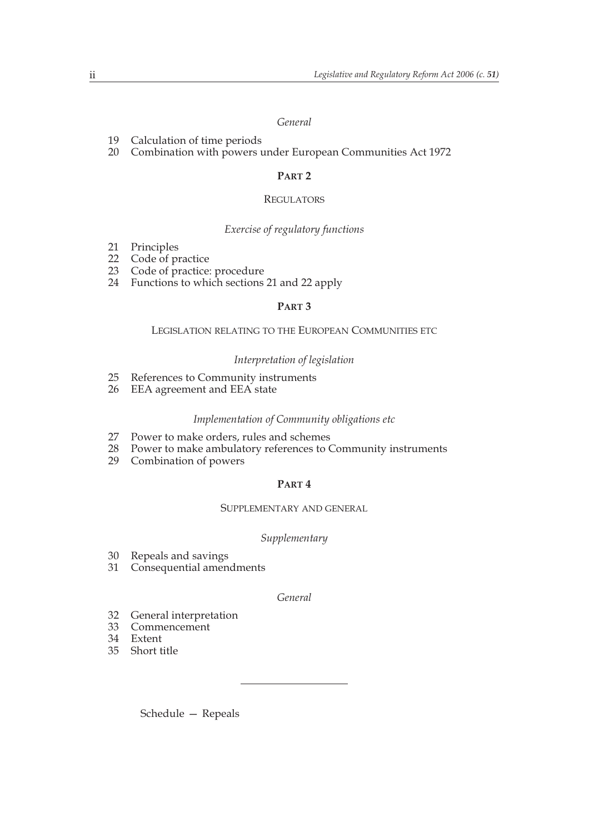#### *General*

- 19 Calculation of time periods
- 20 Combination with powers under European Communities Act 1972

#### **PART 2**

#### **REGULATORS**

#### *Exercise of regulatory functions*

- 21 Principles<br>22 Code of p
- 22 Code of practice<br>23 Code of practice:
- Code of practice: procedure
- 24 Functions to which sections 21 and 22 apply

#### **PART 3**

#### LEGISLATION RELATING TO THE EUROPEAN COMMUNITIES ETC

#### *Interpretation of legislation*

- 25 References to Community instruments<br>26 EEA agreement and EEA state
- EEA agreement and EEA state

#### *Implementation of Community obligations etc*

- 27 Power to make orders, rules and schemes<br>28 Power to make ambulatory references to C
- 28 Power to make ambulatory references to Community instruments<br>29 Combination of powers
- Combination of powers

#### **PART 4**

#### SUPPLEMENTARY AND GENERAL

#### *Supplementary*

- 30 Repeals and savings<br>31 Consequential amen
- Consequential amendments

#### *General*

- 32 General interpretation
- 33 Commencement
- 34 Extent
- 35 Short title

Schedule — Repeals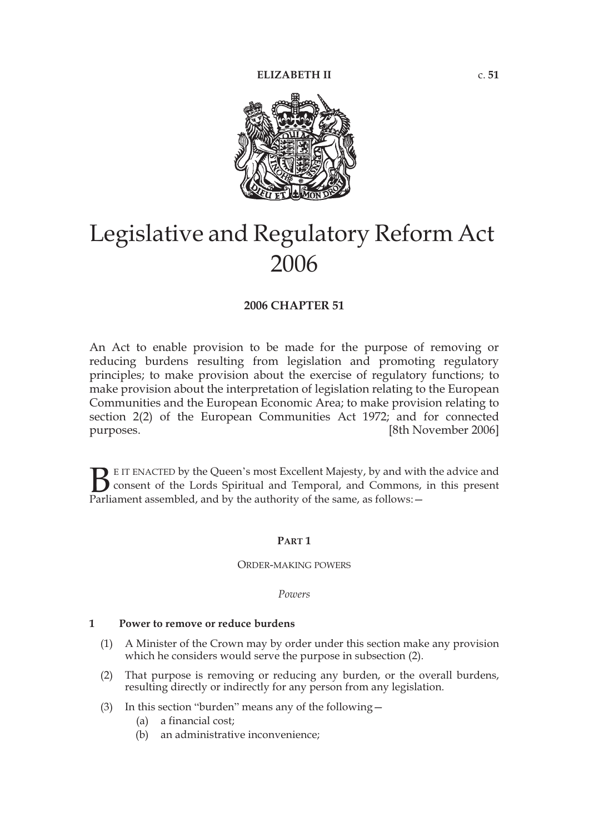

# Legislative and Regulatory Reform Act 2006

#### **2006 CHAPTER 51**

An Act to enable provision to be made for the purpose of removing or reducing burdens resulting from legislation and promoting regulatory principles; to make provision about the exercise of regulatory functions; to make provision about the interpretation of legislation relating to the European Communities and the European Economic Area; to make provision relating to section 2(2) of the European Communities Act 1972; and for connected purposes. [8th November 2006]

E IT ENACTED by the Queen's most Excellent Majesty, by and with the advice and consent of the Lords Spiritual and Temporal, and Commons, in this present **P**EIT ENACTED by the Queen's most Excellent Majesty, by and with consent of the Lords Spiritual and Temporal, and Commons, Parliament assembled, and by the authority of the same, as follows:  $-$ 

#### **PART 1**

#### ORDER-MAKING POWERS

*Powers*

#### **1 Power to remove or reduce burdens**

- (1) A Minister of the Crown may by order under this section make any provision which he considers would serve the purpose in subsection (2).
- (2) That purpose is removing or reducing any burden, or the overall burdens, resulting directly or indirectly for any person from any legislation.
- (3) In this section "burden" means any of the following—
	- (a) a financial cost;
	- (b) an administrative inconvenience;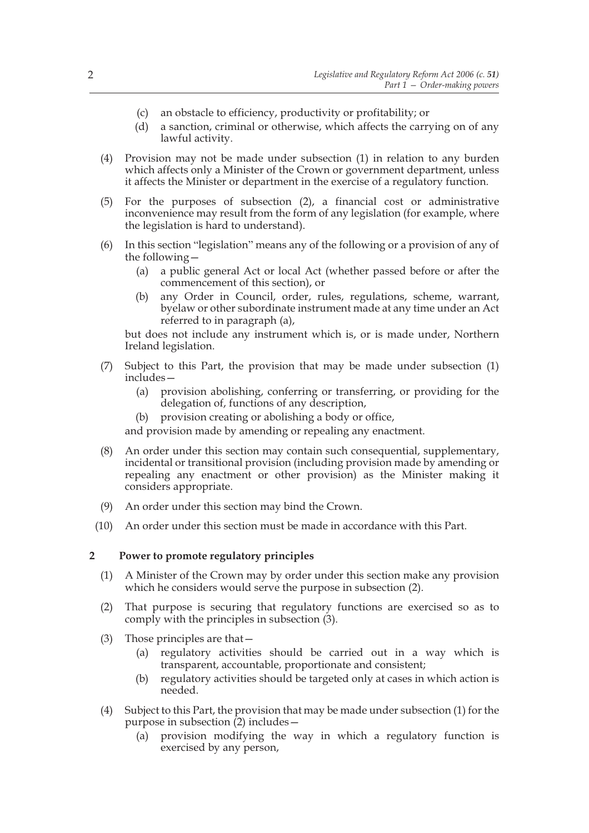- (c) an obstacle to efficiency, productivity or profitability; or
- (d) a sanction, criminal or otherwise, which affects the carrying on of any lawful activity.
- (4) Provision may not be made under subsection (1) in relation to any burden which affects only a Minister of the Crown or government department, unless it affects the Minister or department in the exercise of a regulatory function.
- (5) For the purposes of subsection (2), a financial cost or administrative inconvenience may result from the form of any legislation (for example, where the legislation is hard to understand).
- (6) In this section "legislation" means any of the following or a provision of any of the following—
	- (a) a public general Act or local Act (whether passed before or after the commencement of this section), or
	- (b) any Order in Council, order, rules, regulations, scheme, warrant, byelaw or other subordinate instrument made at any time under an Act referred to in paragraph (a),

but does not include any instrument which is, or is made under, Northern Ireland legislation.

- (7) Subject to this Part, the provision that may be made under subsection (1) includes—
	- (a) provision abolishing, conferring or transferring, or providing for the delegation of, functions of any description,
	- (b) provision creating or abolishing a body or office,

and provision made by amending or repealing any enactment.

- (8) An order under this section may contain such consequential, supplementary, incidental or transitional provision (including provision made by amending or repealing any enactment or other provision) as the Minister making it considers appropriate.
- (9) An order under this section may bind the Crown.
- (10) An order under this section must be made in accordance with this Part.

#### **2 Power to promote regulatory principles**

- (1) A Minister of the Crown may by order under this section make any provision which he considers would serve the purpose in subsection (2).
- (2) That purpose is securing that regulatory functions are exercised so as to comply with the principles in subsection (3).
- (3) Those principles are that—
	- (a) regulatory activities should be carried out in a way which is transparent, accountable, proportionate and consistent;
	- (b) regulatory activities should be targeted only at cases in which action is needed.
- (4) Subject to this Part, the provision that may be made under subsection (1) for the purpose in subsection  $(2)$  includes –
	- (a) provision modifying the way in which a regulatory function is exercised by any person,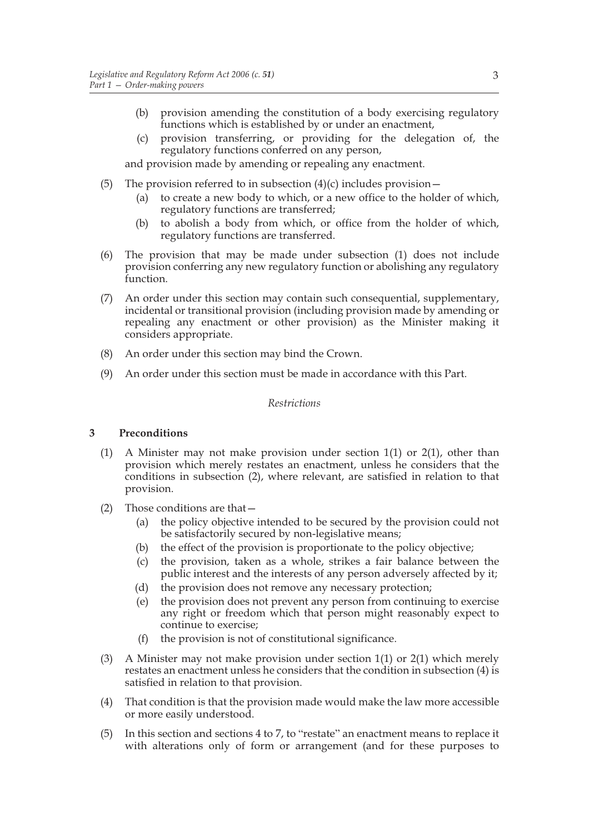- (b) provision amending the constitution of a body exercising regulatory functions which is established by or under an enactment,
- (c) provision transferring, or providing for the delegation of, the regulatory functions conferred on any person,

and provision made by amending or repealing any enactment.

- (5) The provision referred to in subsection  $(4)(c)$  includes provision -
	- (a) to create a new body to which, or a new office to the holder of which, regulatory functions are transferred;
	- (b) to abolish a body from which, or office from the holder of which, regulatory functions are transferred.
- (6) The provision that may be made under subsection (1) does not include provision conferring any new regulatory function or abolishing any regulatory function.
- (7) An order under this section may contain such consequential, supplementary, incidental or transitional provision (including provision made by amending or repealing any enactment or other provision) as the Minister making it considers appropriate.
- (8) An order under this section may bind the Crown.
- (9) An order under this section must be made in accordance with this Part.

#### *Restrictions*

#### **3 Preconditions**

- (1) A Minister may not make provision under section 1(1) or 2(1), other than provision which merely restates an enactment, unless he considers that the conditions in subsection (2), where relevant, are satisfied in relation to that provision.
- (2) Those conditions are that—
	- (a) the policy objective intended to be secured by the provision could not be satisfactorily secured by non-legislative means;
	- (b) the effect of the provision is proportionate to the policy objective;
	- (c) the provision, taken as a whole, strikes a fair balance between the public interest and the interests of any person adversely affected by it;
	- (d) the provision does not remove any necessary protection;
	- (e) the provision does not prevent any person from continuing to exercise any right or freedom which that person might reasonably expect to continue to exercise;
	- (f) the provision is not of constitutional significance.
- (3) A Minister may not make provision under section 1(1) or 2(1) which merely restates an enactment unless he considers that the condition in subsection (4) is satisfied in relation to that provision.
- (4) That condition is that the provision made would make the law more accessible or more easily understood.
- (5) In this section and sections 4 to 7, to "restate" an enactment means to replace it with alterations only of form or arrangement (and for these purposes to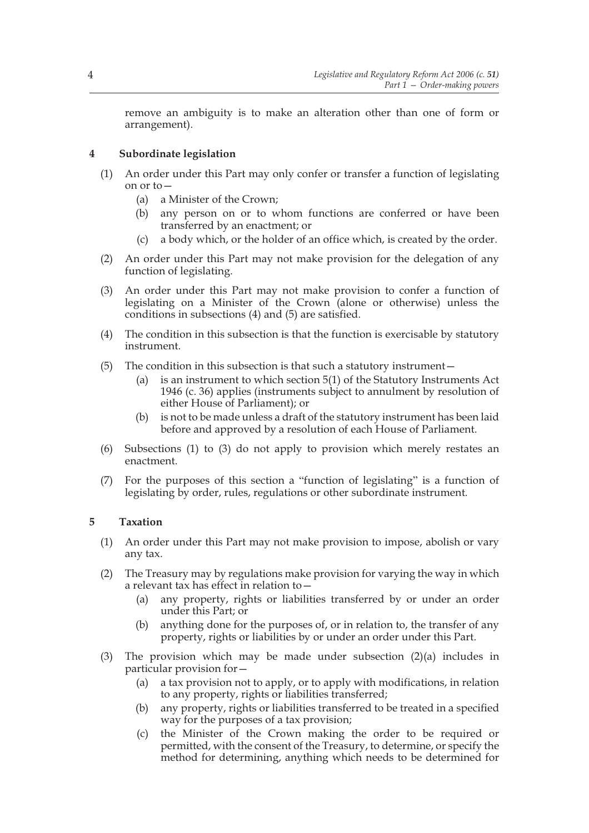remove an ambiguity is to make an alteration other than one of form or arrangement).

## **4 Subordinate legislation**

- (1) An order under this Part may only confer or transfer a function of legislating on or to—
	- (a) a Minister of the Crown;
	- (b) any person on or to whom functions are conferred or have been transferred by an enactment; or
	- (c) a body which, or the holder of an office which, is created by the order.
- (2) An order under this Part may not make provision for the delegation of any function of legislating.
- (3) An order under this Part may not make provision to confer a function of legislating on a Minister of the Crown (alone or otherwise) unless the conditions in subsections (4) and (5) are satisfied.
- (4) The condition in this subsection is that the function is exercisable by statutory instrument.
- (5) The condition in this subsection is that such a statutory instrument—
	- (a) is an instrument to which section 5(1) of the Statutory Instruments Act 1946 (c. 36) applies (instruments subject to annulment by resolution of either House of Parliament); or
	- (b) is not to be made unless a draft of the statutory instrument has been laid before and approved by a resolution of each House of Parliament.
- (6) Subsections (1) to (3) do not apply to provision which merely restates an enactment.
- (7) For the purposes of this section a "function of legislating" is a function of legislating by order, rules, regulations or other subordinate instrument.

## **5 Taxation**

- (1) An order under this Part may not make provision to impose, abolish or vary any tax.
- (2) The Treasury may by regulations make provision for varying the way in which a relevant tax has effect in relation to—
	- (a) any property, rights or liabilities transferred by or under an order under this Part; or
	- (b) anything done for the purposes of, or in relation to, the transfer of any property, rights or liabilities by or under an order under this Part.
- (3) The provision which may be made under subsection (2)(a) includes in particular provision for—
	- (a) a tax provision not to apply, or to apply with modifications, in relation to any property, rights or liabilities transferred;
	- (b) any property, rights or liabilities transferred to be treated in a specified way for the purposes of a tax provision;
	- (c) the Minister of the Crown making the order to be required or permitted, with the consent of the Treasury, to determine, or specify the method for determining, anything which needs to be determined for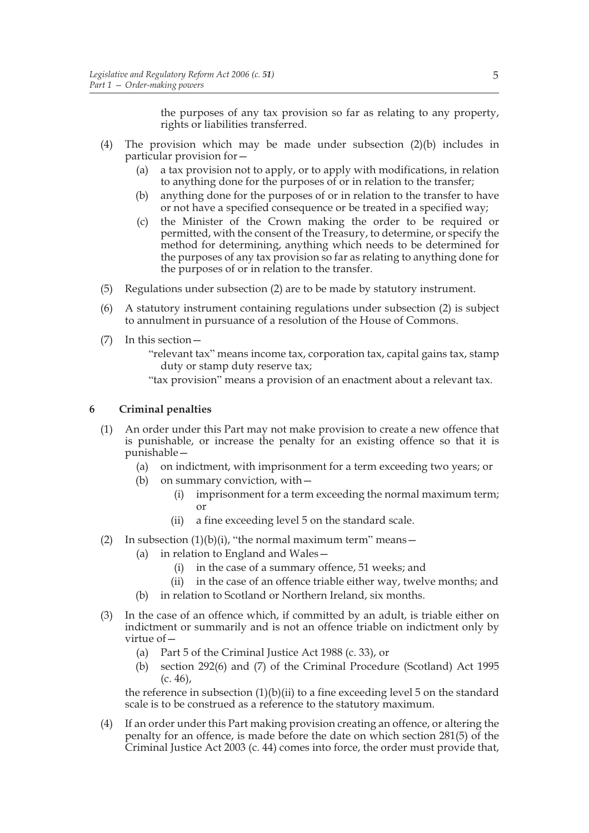the purposes of any tax provision so far as relating to any property, rights or liabilities transferred.

- (4) The provision which may be made under subsection (2)(b) includes in particular provision for—
	- (a) a tax provision not to apply, or to apply with modifications, in relation to anything done for the purposes of or in relation to the transfer;
	- (b) anything done for the purposes of or in relation to the transfer to have or not have a specified consequence or be treated in a specified way;
	- (c) the Minister of the Crown making the order to be required or permitted, with the consent of the Treasury, to determine, or specify the method for determining, anything which needs to be determined for the purposes of any tax provision so far as relating to anything done for the purposes of or in relation to the transfer.
- (5) Regulations under subsection (2) are to be made by statutory instrument.
- (6) A statutory instrument containing regulations under subsection (2) is subject to annulment in pursuance of a resolution of the House of Commons.
- (7) In this section—
	- "relevant tax" means income tax, corporation tax, capital gains tax, stamp duty or stamp duty reserve tax;
	- "tax provision" means a provision of an enactment about a relevant tax.

#### **6 Criminal penalties**

- (1) An order under this Part may not make provision to create a new offence that is punishable, or increase the penalty for an existing offence so that it is punishable—
	- (a) on indictment, with imprisonment for a term exceeding two years; or
	- (b) on summary conviction, with—
		- (i) imprisonment for a term exceeding the normal maximum term; or
		- (ii) a fine exceeding level 5 on the standard scale.
- (2) In subsection  $(1)(b)(i)$ , "the normal maximum term" means -
	- (a) in relation to England and Wales—
		- (i) in the case of a summary offence, 51 weeks; and
		- (ii) in the case of an offence triable either way, twelve months; and
	- (b) in relation to Scotland or Northern Ireland, six months.
- (3) In the case of an offence which, if committed by an adult, is triable either on indictment or summarily and is not an offence triable on indictment only by virtue of—
	- (a) Part 5 of the Criminal Justice Act 1988 (c. 33), or
	- (b) section 292(6) and (7) of the Criminal Procedure (Scotland) Act 1995 (c. 46),

the reference in subsection (1)(b)(ii) to a fine exceeding level 5 on the standard scale is to be construed as a reference to the statutory maximum.

(4) If an order under this Part making provision creating an offence, or altering the penalty for an offence, is made before the date on which section 281(5) of the Criminal Justice Act 2003 (c. 44) comes into force, the order must provide that,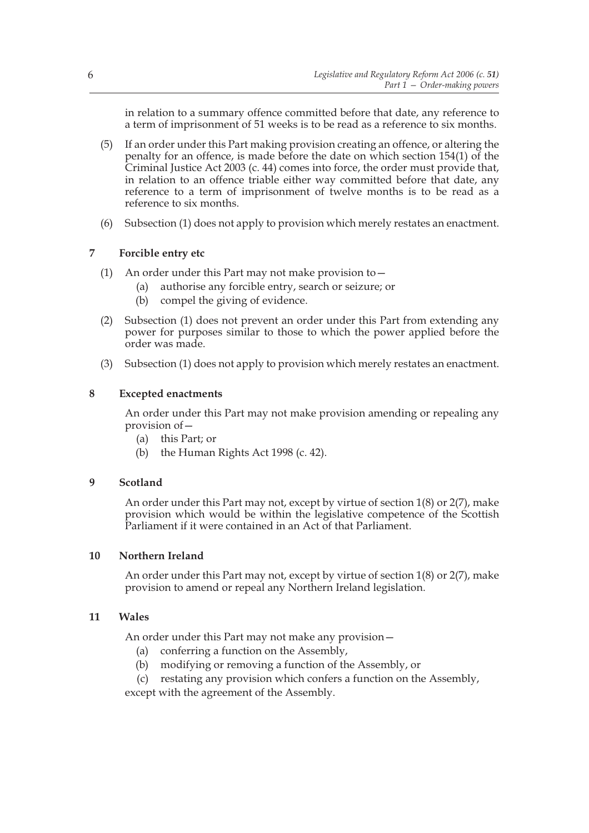in relation to a summary offence committed before that date, any reference to a term of imprisonment of 51 weeks is to be read as a reference to six months.

- (5) If an order under this Part making provision creating an offence, or altering the penalty for an offence, is made before the date on which section 154(1) of the Criminal Justice Act 2003 (c. 44) comes into force, the order must provide that, in relation to an offence triable either way committed before that date, any reference to a term of imprisonment of twelve months is to be read as a reference to six months.
- (6) Subsection (1) does not apply to provision which merely restates an enactment.

## **7 Forcible entry etc**

- (1) An order under this Part may not make provision to  $-$ 
	- (a) authorise any forcible entry, search or seizure; or
	- (b) compel the giving of evidence.
- (2) Subsection (1) does not prevent an order under this Part from extending any power for purposes similar to those to which the power applied before the order was made.
- (3) Subsection (1) does not apply to provision which merely restates an enactment.

## **8 Excepted enactments**

An order under this Part may not make provision amending or repealing any provision of—

- (a) this Part; or
- (b) the Human Rights Act 1998 (c. 42).

## **9 Scotland**

An order under this Part may not, except by virtue of section 1(8) or 2(7), make provision which would be within the legislative competence of the Scottish Parliament if it were contained in an Act of that Parliament.

#### **10 Northern Ireland**

An order under this Part may not, except by virtue of section 1(8) or 2(7), make provision to amend or repeal any Northern Ireland legislation.

#### **11 Wales**

An order under this Part may not make any provision—

- (a) conferring a function on the Assembly,
- (b) modifying or removing a function of the Assembly, or
- (c) restating any provision which confers a function on the Assembly,

except with the agreement of the Assembly.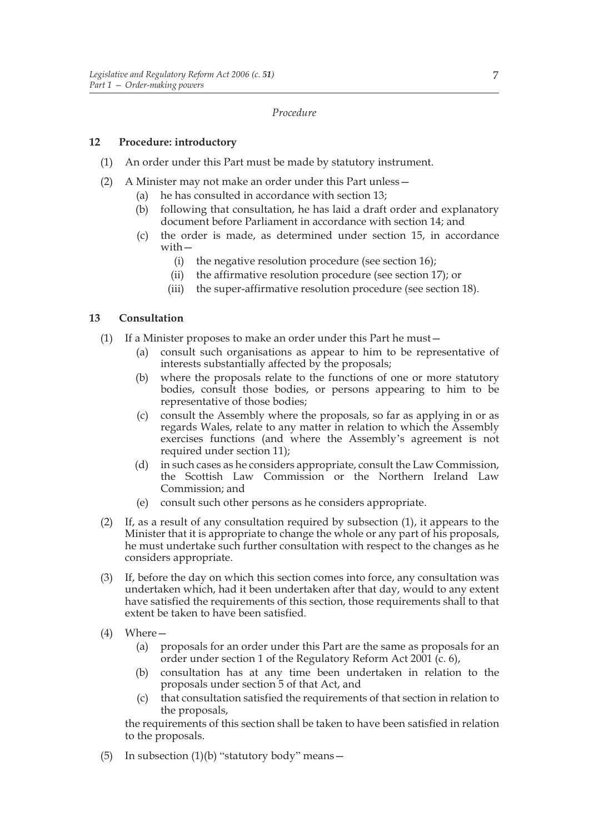#### *Procedure*

#### **12 Procedure: introductory**

- (1) An order under this Part must be made by statutory instrument.
- (2) A Minister may not make an order under this Part unless—
	- (a) he has consulted in accordance with section 13;
	- (b) following that consultation, he has laid a draft order and explanatory document before Parliament in accordance with section 14; and
	- (c) the order is made, as determined under section 15, in accordance with—
		- (i) the negative resolution procedure (see section 16);
		- (ii) the affirmative resolution procedure (see section 17); or
		- (iii) the super-affirmative resolution procedure (see section 18).

## **13 Consultation**

- (1) If a Minister proposes to make an order under this Part he must—
	- (a) consult such organisations as appear to him to be representative of interests substantially affected by the proposals;
	- (b) where the proposals relate to the functions of one or more statutory bodies, consult those bodies, or persons appearing to him to be representative of those bodies;
	- (c) consult the Assembly where the proposals, so far as applying in or as regards Wales, relate to any matter in relation to which the Assembly exercises functions (and where the Assembly's agreement is not required under section 11);
	- (d) in such cases as he considers appropriate, consult the Law Commission, the Scottish Law Commission or the Northern Ireland Law Commission; and
	- (e) consult such other persons as he considers appropriate.
- (2) If, as a result of any consultation required by subsection (1), it appears to the Minister that it is appropriate to change the whole or any part of his proposals, he must undertake such further consultation with respect to the changes as he considers appropriate.
- (3) If, before the day on which this section comes into force, any consultation was undertaken which, had it been undertaken after that day, would to any extent have satisfied the requirements of this section, those requirements shall to that extent be taken to have been satisfied.
- (4) Where—
	- (a) proposals for an order under this Part are the same as proposals for an order under section 1 of the Regulatory Reform Act 2001 (c. 6),
	- (b) consultation has at any time been undertaken in relation to the proposals under section 5 of that Act, and
	- (c) that consultation satisfied the requirements of that section in relation to the proposals,

the requirements of this section shall be taken to have been satisfied in relation to the proposals.

(5) In subsection  $(1)(b)$  "statutory body" means -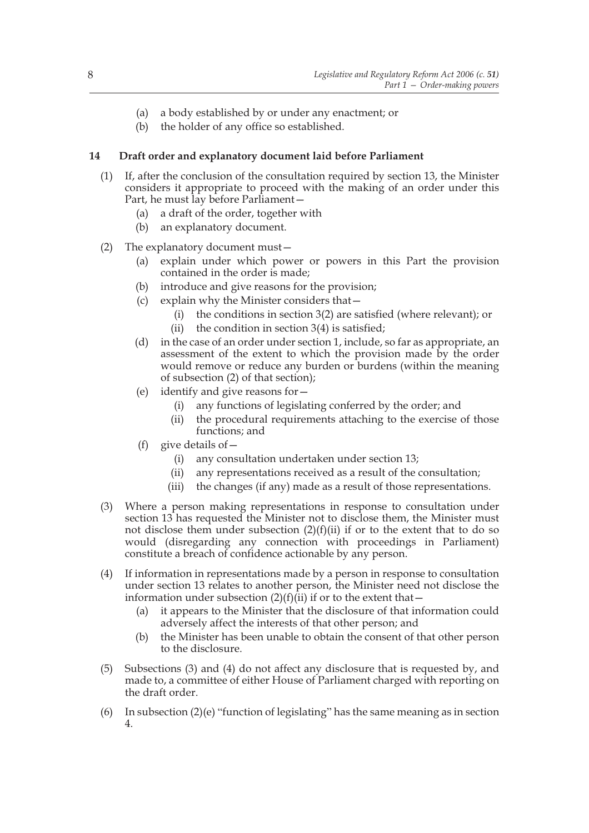- (a) a body established by or under any enactment; or
- (b) the holder of any office so established.

### **14 Draft order and explanatory document laid before Parliament**

- (1) If, after the conclusion of the consultation required by section 13, the Minister considers it appropriate to proceed with the making of an order under this Part, he must lay before Parliament—
	- (a) a draft of the order, together with
	- (b) an explanatory document.
- (2) The explanatory document must—
	- (a) explain under which power or powers in this Part the provision contained in the order is made;
	- (b) introduce and give reasons for the provision;
	- (c) explain why the Minister considers that—
		- (i) the conditions in section 3(2) are satisfied (where relevant); or
		- (ii) the condition in section  $3(4)$  is satisfied;
	- (d) in the case of an order under section 1, include, so far as appropriate, an assessment of the extent to which the provision made by the order would remove or reduce any burden or burdens (within the meaning of subsection (2) of that section);
	- (e) identify and give reasons for—
		- (i) any functions of legislating conferred by the order; and
		- (ii) the procedural requirements attaching to the exercise of those functions; and
	- (f) give details of  $-$ 
		- (i) any consultation undertaken under section 13;
		- (ii) any representations received as a result of the consultation;
		- (iii) the changes (if any) made as a result of those representations.
- (3) Where a person making representations in response to consultation under section 13 has requested the Minister not to disclose them, the Minister must not disclose them under subsection  $(2)(f)(ii)$  if or to the extent that to do so would (disregarding any connection with proceedings in Parliament) constitute a breach of confidence actionable by any person.
- (4) If information in representations made by a person in response to consultation under section 13 relates to another person, the Minister need not disclose the information under subsection  $(2)(f)(ii)$  if or to the extent that –
	- (a) it appears to the Minister that the disclosure of that information could adversely affect the interests of that other person; and
	- (b) the Minister has been unable to obtain the consent of that other person to the disclosure.
- (5) Subsections (3) and (4) do not affect any disclosure that is requested by, and made to, a committee of either House of Parliament charged with reporting on the draft order.
- (6) In subsection  $(2)(e)$  "function of legislating" has the same meaning as in section 4.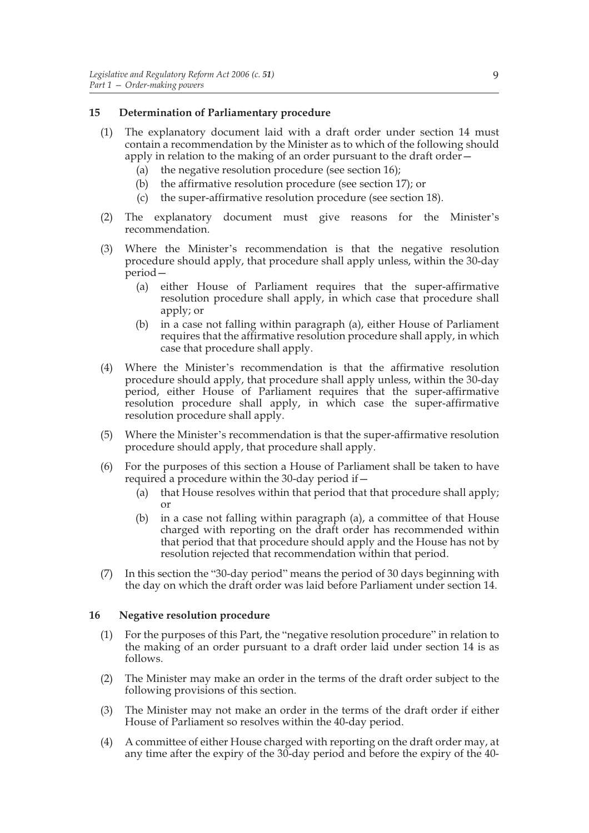#### **15 Determination of Parliamentary procedure**

- (1) The explanatory document laid with a draft order under section 14 must contain a recommendation by the Minister as to which of the following should apply in relation to the making of an order pursuant to the draft order—
	- (a) the negative resolution procedure (see section 16);
	- (b) the affirmative resolution procedure (see section 17); or
	- (c) the super-affirmative resolution procedure (see section 18).
- (2) The explanatory document must give reasons for the Minister's recommendation.
- (3) Where the Minister's recommendation is that the negative resolution procedure should apply, that procedure shall apply unless, within the 30-day period—
	- (a) either House of Parliament requires that the super-affirmative resolution procedure shall apply, in which case that procedure shall apply; or
	- (b) in a case not falling within paragraph (a), either House of Parliament requires that the affirmative resolution procedure shall apply, in which case that procedure shall apply.
- (4) Where the Minister's recommendation is that the affirmative resolution procedure should apply, that procedure shall apply unless, within the 30-day period, either House of Parliament requires that the super-affirmative resolution procedure shall apply, in which case the super-affirmative resolution procedure shall apply.
- (5) Where the Minister's recommendation is that the super-affirmative resolution procedure should apply, that procedure shall apply.
- (6) For the purposes of this section a House of Parliament shall be taken to have required a procedure within the 30-day period if—
	- (a) that House resolves within that period that that procedure shall apply; or
	- (b) in a case not falling within paragraph (a), a committee of that House charged with reporting on the draft order has recommended within that period that that procedure should apply and the House has not by resolution rejected that recommendation within that period.
- (7) In this section the "30-day period" means the period of 30 days beginning with the day on which the draft order was laid before Parliament under section 14.

#### **16 Negative resolution procedure**

- (1) For the purposes of this Part, the "negative resolution procedure" in relation to the making of an order pursuant to a draft order laid under section 14 is as follows.
- (2) The Minister may make an order in the terms of the draft order subject to the following provisions of this section.
- (3) The Minister may not make an order in the terms of the draft order if either House of Parliament so resolves within the 40-day period.
- (4) A committee of either House charged with reporting on the draft order may, at any time after the expiry of the 30-day period and before the expiry of the 40-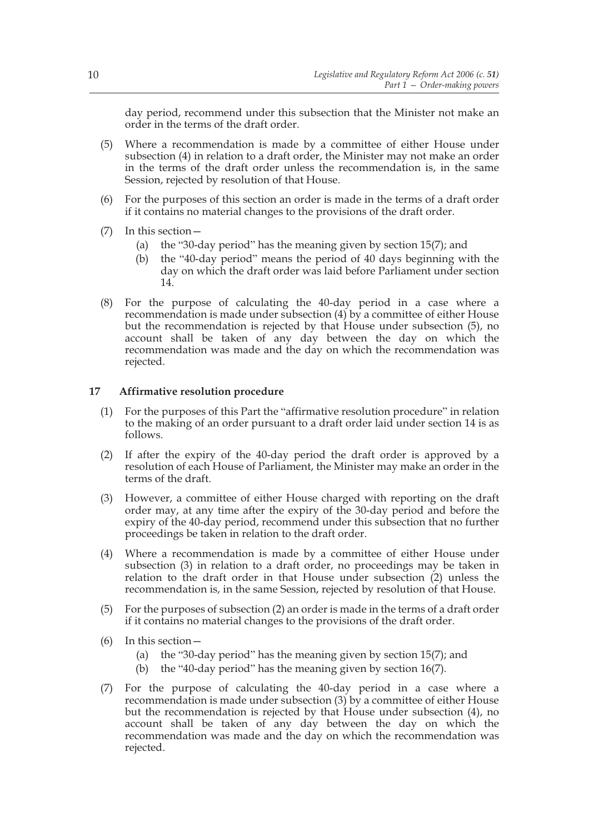day period, recommend under this subsection that the Minister not make an order in the terms of the draft order.

- (5) Where a recommendation is made by a committee of either House under subsection (4) in relation to a draft order, the Minister may not make an order in the terms of the draft order unless the recommendation is, in the same Session, rejected by resolution of that House.
- (6) For the purposes of this section an order is made in the terms of a draft order if it contains no material changes to the provisions of the draft order.
- (7) In this section—
	- (a) the "30-day period" has the meaning given by section 15(7); and
	- (b) the "40-day period" means the period of 40 days beginning with the day on which the draft order was laid before Parliament under section 14.
- (8) For the purpose of calculating the 40-day period in a case where a recommendation is made under subsection (4) by a committee of either House but the recommendation is rejected by that House under subsection (5), no account shall be taken of any day between the day on which the recommendation was made and the day on which the recommendation was rejected.

#### **17 Affirmative resolution procedure**

- (1) For the purposes of this Part the "affirmative resolution procedure" in relation to the making of an order pursuant to a draft order laid under section 14 is as follows.
- (2) If after the expiry of the 40-day period the draft order is approved by a resolution of each House of Parliament, the Minister may make an order in the terms of the draft.
- (3) However, a committee of either House charged with reporting on the draft order may, at any time after the expiry of the 30-day period and before the expiry of the 40-day period, recommend under this subsection that no further proceedings be taken in relation to the draft order.
- (4) Where a recommendation is made by a committee of either House under subsection (3) in relation to a draft order, no proceedings may be taken in relation to the draft order in that House under subsection (2) unless the recommendation is, in the same Session, rejected by resolution of that House.
- (5) For the purposes of subsection (2) an order is made in the terms of a draft order if it contains no material changes to the provisions of the draft order.
- (6) In this section—
	- (a) the "30-day period" has the meaning given by section 15(7); and
	- (b) the "40-day period" has the meaning given by section 16(7).
- (7) For the purpose of calculating the 40-day period in a case where a recommendation is made under subsection (3) by a committee of either House but the recommendation is rejected by that House under subsection (4), no account shall be taken of any day between the day on which the recommendation was made and the day on which the recommendation was rejected.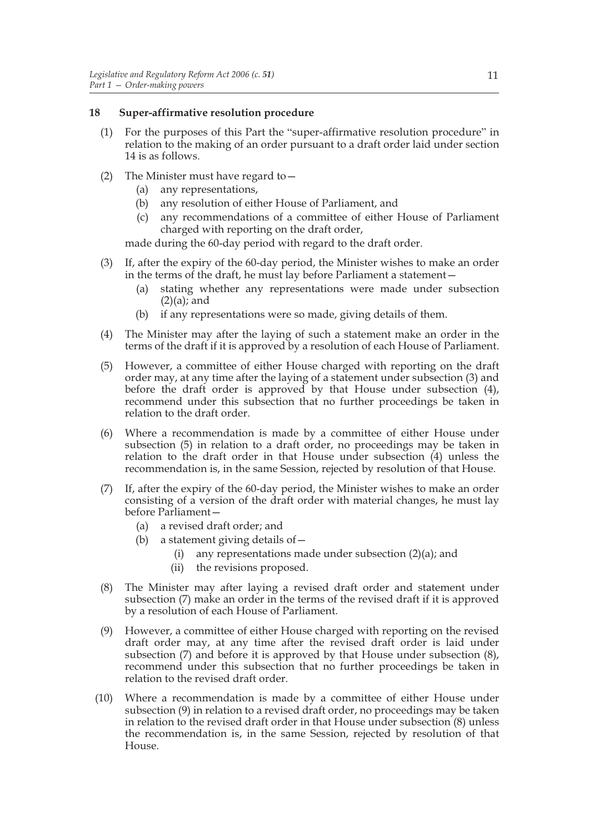#### **18 Super-affirmative resolution procedure**

- (1) For the purposes of this Part the "super-affirmative resolution procedure" in relation to the making of an order pursuant to a draft order laid under section 14 is as follows.
- (2) The Minister must have regard to—
	- (a) any representations,
	- (b) any resolution of either House of Parliament, and
	- (c) any recommendations of a committee of either House of Parliament charged with reporting on the draft order,

made during the 60-day period with regard to the draft order.

- (3) If, after the expiry of the 60-day period, the Minister wishes to make an order in the terms of the draft, he must lay before Parliament a statement—
	- (a) stating whether any representations were made under subsection  $(2)(a)$ ; and
	- (b) if any representations were so made, giving details of them.
- (4) The Minister may after the laying of such a statement make an order in the terms of the draft if it is approved by a resolution of each House of Parliament.
- (5) However, a committee of either House charged with reporting on the draft order may, at any time after the laying of a statement under subsection (3) and before the draft order is approved by that House under subsection (4), recommend under this subsection that no further proceedings be taken in relation to the draft order.
- (6) Where a recommendation is made by a committee of either House under subsection (5) in relation to a draft order, no proceedings may be taken in relation to the draft order in that House under subsection (4) unless the recommendation is, in the same Session, rejected by resolution of that House.
- (7) If, after the expiry of the 60-day period, the Minister wishes to make an order consisting of a version of the draft order with material changes, he must lay before Parliament—
	- (a) a revised draft order; and
	- (b) a statement giving details of—
		- (i) any representations made under subsection (2)(a); and
		- (ii) the revisions proposed.
- (8) The Minister may after laying a revised draft order and statement under subsection (7) make an order in the terms of the revised draft if it is approved by a resolution of each House of Parliament.
- (9) However, a committee of either House charged with reporting on the revised draft order may, at any time after the revised draft order is laid under subsection (7) and before it is approved by that House under subsection (8), recommend under this subsection that no further proceedings be taken in relation to the revised draft order.
- (10) Where a recommendation is made by a committee of either House under subsection (9) in relation to a revised draft order, no proceedings may be taken in relation to the revised draft order in that House under subsection (8) unless the recommendation is, in the same Session, rejected by resolution of that House.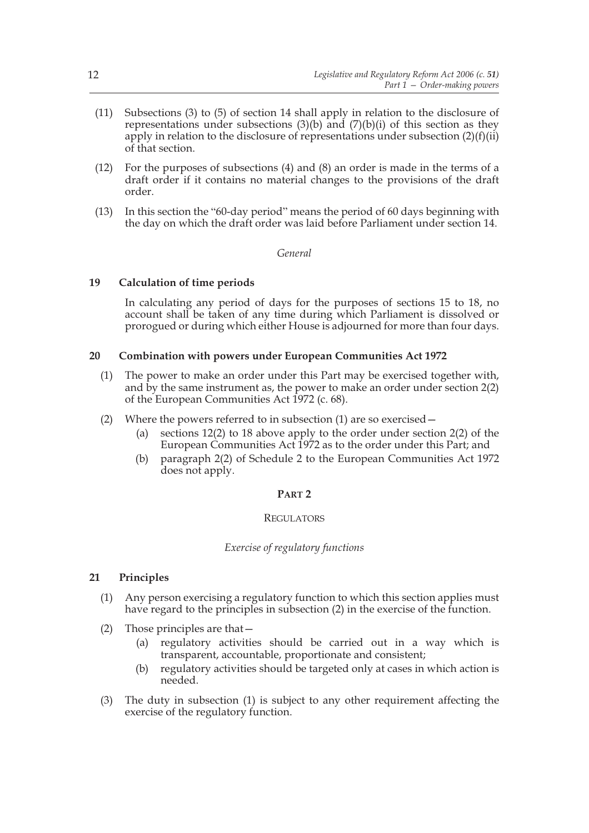- (11) Subsections (3) to (5) of section 14 shall apply in relation to the disclosure of representations under subsections  $(3)(b)$  and  $(7)(b)(i)$  of this section as they apply in relation to the disclosure of representations under subsection  $(2)(f)(ii)$ of that section.
- (12) For the purposes of subsections (4) and (8) an order is made in the terms of a draft order if it contains no material changes to the provisions of the draft order.
- (13) In this section the "60-day period" means the period of 60 days beginning with the day on which the draft order was laid before Parliament under section 14.

#### *General*

#### **19 Calculation of time periods**

In calculating any period of days for the purposes of sections 15 to 18, no account shall be taken of any time during which Parliament is dissolved or prorogued or during which either House is adjourned for more than four days.

## **20 Combination with powers under European Communities Act 1972**

- (1) The power to make an order under this Part may be exercised together with, and by the same instrument as, the power to make an order under section  $2(2)$ of the European Communities Act 1972 (c. 68).
- (2) Where the powers referred to in subsection (1) are so exercised—
	- (a) sections 12(2) to 18 above apply to the order under section 2(2) of the European Communities Act 1972 as to the order under this Part; and
	- (b) paragraph 2(2) of Schedule 2 to the European Communities Act 1972 does not apply.

#### **PART 2**

#### **REGULATORS**

## *Exercise of regulatory functions*

#### **21 Principles**

- (1) Any person exercising a regulatory function to which this section applies must have regard to the principles in subsection (2) in the exercise of the function.
- (2) Those principles are that—
	- (a) regulatory activities should be carried out in a way which is transparent, accountable, proportionate and consistent;
	- (b) regulatory activities should be targeted only at cases in which action is needed.
- (3) The duty in subsection (1) is subject to any other requirement affecting the exercise of the regulatory function.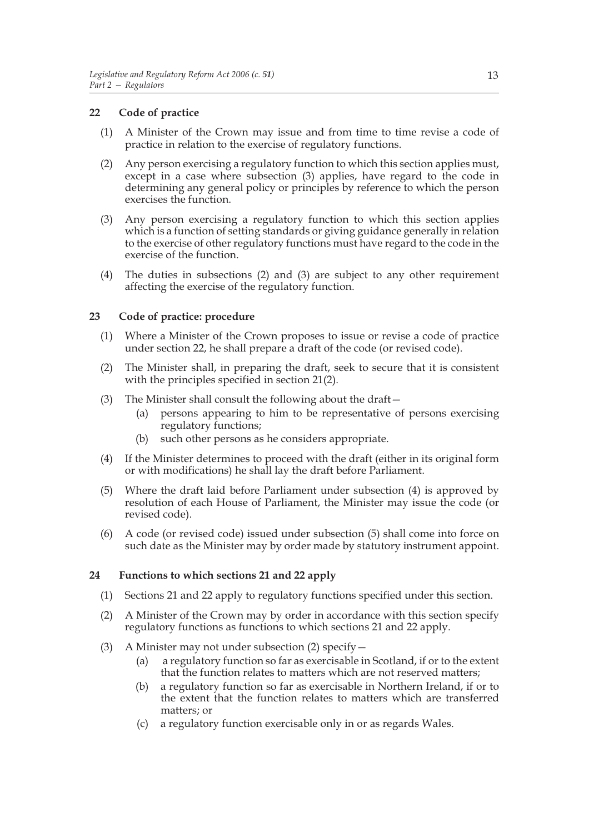## **22 Code of practice**

- (1) A Minister of the Crown may issue and from time to time revise a code of practice in relation to the exercise of regulatory functions.
- (2) Any person exercising a regulatory function to which this section applies must, except in a case where subsection (3) applies, have regard to the code in determining any general policy or principles by reference to which the person exercises the function.
- (3) Any person exercising a regulatory function to which this section applies which is a function of setting standards or giving guidance generally in relation to the exercise of other regulatory functions must have regard to the code in the exercise of the function.
- (4) The duties in subsections (2) and (3) are subject to any other requirement affecting the exercise of the regulatory function.

#### **23 Code of practice: procedure**

- (1) Where a Minister of the Crown proposes to issue or revise a code of practice under section 22, he shall prepare a draft of the code (or revised code).
- (2) The Minister shall, in preparing the draft, seek to secure that it is consistent with the principles specified in section 21(2).
- (3) The Minister shall consult the following about the draft—
	- (a) persons appearing to him to be representative of persons exercising regulatory functions;
	- (b) such other persons as he considers appropriate.
- (4) If the Minister determines to proceed with the draft (either in its original form or with modifications) he shall lay the draft before Parliament.
- (5) Where the draft laid before Parliament under subsection (4) is approved by resolution of each House of Parliament, the Minister may issue the code (or revised code).
- (6) A code (or revised code) issued under subsection (5) shall come into force on such date as the Minister may by order made by statutory instrument appoint.

## **24 Functions to which sections 21 and 22 apply**

- (1) Sections 21 and 22 apply to regulatory functions specified under this section.
- (2) A Minister of the Crown may by order in accordance with this section specify regulatory functions as functions to which sections 21 and 22 apply.
- (3) A Minister may not under subsection (2) specify—
	- (a) a regulatory function so far as exercisable in Scotland, if or to the extent that the function relates to matters which are not reserved matters;
	- (b) a regulatory function so far as exercisable in Northern Ireland, if or to the extent that the function relates to matters which are transferred matters; or
	- (c) a regulatory function exercisable only in or as regards Wales.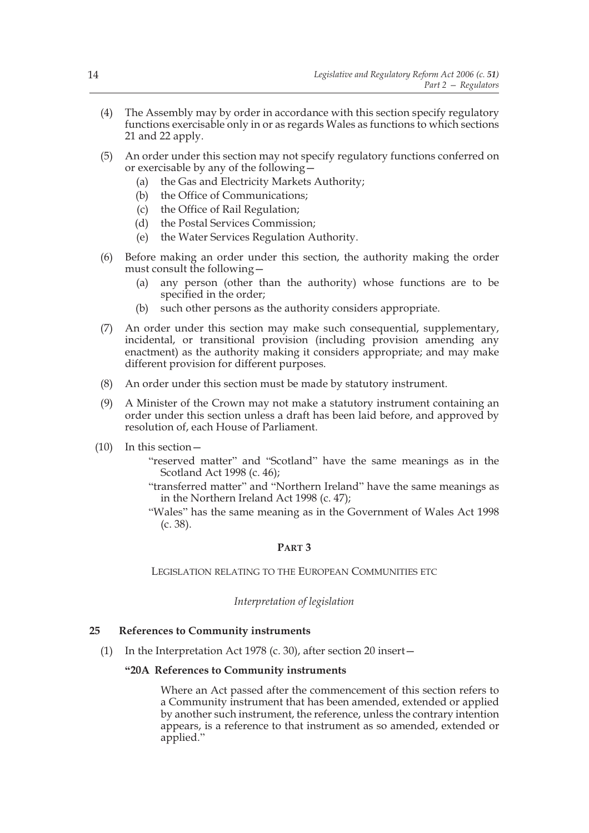- (4) The Assembly may by order in accordance with this section specify regulatory functions exercisable only in or as regards Wales as functions to which sections 21 and 22 apply.
- (5) An order under this section may not specify regulatory functions conferred on or exercisable by any of the following—
	- (a) the Gas and Electricity Markets Authority;
	- (b) the Office of Communications;
	- (c) the Office of Rail Regulation;
	- (d) the Postal Services Commission;
	- (e) the Water Services Regulation Authority.
- (6) Before making an order under this section, the authority making the order must consult the following—
	- (a) any person (other than the authority) whose functions are to be specified in the order;
	- (b) such other persons as the authority considers appropriate.
- (7) An order under this section may make such consequential, supplementary, incidental, or transitional provision (including provision amending any enactment) as the authority making it considers appropriate; and may make different provision for different purposes.
- (8) An order under this section must be made by statutory instrument.
- (9) A Minister of the Crown may not make a statutory instrument containing an order under this section unless a draft has been laid before, and approved by resolution of, each House of Parliament.
- (10) In this section—
	- "reserved matter" and "Scotland" have the same meanings as in the Scotland Act 1998 (c. 46);
	- "transferred matter" and "Northern Ireland" have the same meanings as in the Northern Ireland Act 1998 (c. 47);
	- "Wales" has the same meaning as in the Government of Wales Act 1998 (c. 38).

#### **PART 3**

LEGISLATION RELATING TO THE EUROPEAN COMMUNITIES ETC

#### *Interpretation of legislation*

#### **25 References to Community instruments**

(1) In the Interpretation Act 1978 (c. 30), after section 20 insert—

#### **"20A References to Community instruments**

 Where an Act passed after the commencement of this section refers to a Community instrument that has been amended, extended or applied by another such instrument, the reference, unless the contrary intention appears, is a reference to that instrument as so amended, extended or applied."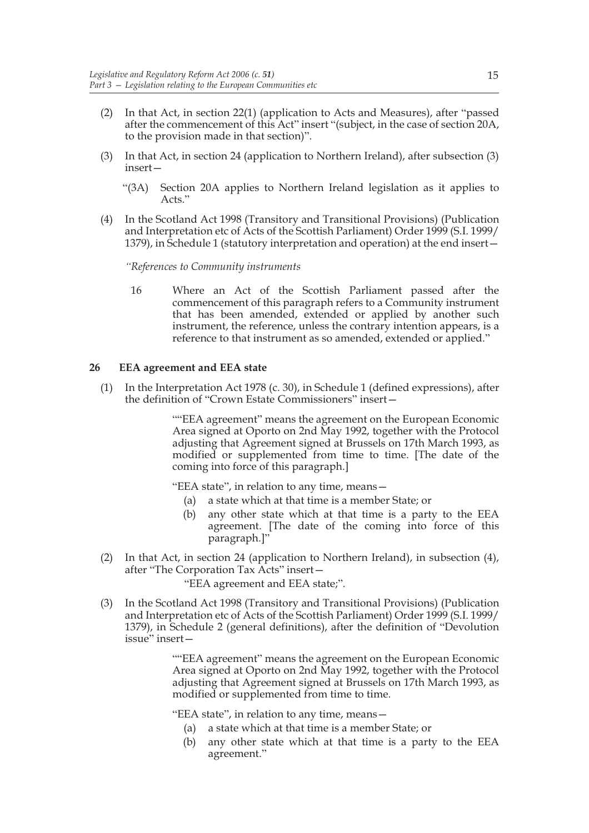- (2) In that Act, in section 22(1) (application to Acts and Measures), after "passed after the commencement of this Act" insert "(subject, in the case of section 20A, to the provision made in that section)".
- (3) In that Act, in section 24 (application to Northern Ireland), after subsection (3) insert—
	- "(3A) Section 20A applies to Northern Ireland legislation as it applies to Acts."
- (4) In the Scotland Act 1998 (Transitory and Transitional Provisions) (Publication and Interpretation etc of Acts of the Scottish Parliament) Order 1999 (S.I. 1999/ 1379), in Schedule 1 (statutory interpretation and operation) at the end insert—

*"References to Community instruments*

16 Where an Act of the Scottish Parliament passed after the commencement of this paragraph refers to a Community instrument that has been amended, extended or applied by another such instrument, the reference, unless the contrary intention appears, is a reference to that instrument as so amended, extended or applied."

#### **26 EEA agreement and EEA state**

(1) In the Interpretation Act 1978 (c. 30), in Schedule 1 (defined expressions), after the definition of "Crown Estate Commissioners" insert—

> ""EEA agreement" means the agreement on the European Economic Area signed at Oporto on 2nd May 1992, together with the Protocol adjusting that Agreement signed at Brussels on 17th March 1993, as modified or supplemented from time to time. [The date of the coming into force of this paragraph.]

"EEA state", in relation to any time, means—

- (a) a state which at that time is a member State; or
- (b) any other state which at that time is a party to the EEA agreement. [The date of the coming into force of this paragraph.]"
- (2) In that Act, in section 24 (application to Northern Ireland), in subsection (4), after "The Corporation Tax Acts" insert—

"EEA agreement and EEA state;".

(3) In the Scotland Act 1998 (Transitory and Transitional Provisions) (Publication and Interpretation etc of Acts of the Scottish Parliament) Order 1999 (S.I. 1999/ 1379), in Schedule 2 (general definitions), after the definition of "Devolution issue" insert—

> ""EEA agreement" means the agreement on the European Economic Area signed at Oporto on 2nd May 1992, together with the Protocol adjusting that Agreement signed at Brussels on 17th March 1993, as modified or supplemented from time to time.

"EEA state", in relation to any time, means—

- (a) a state which at that time is a member State; or
- (b) any other state which at that time is a party to the EEA agreement."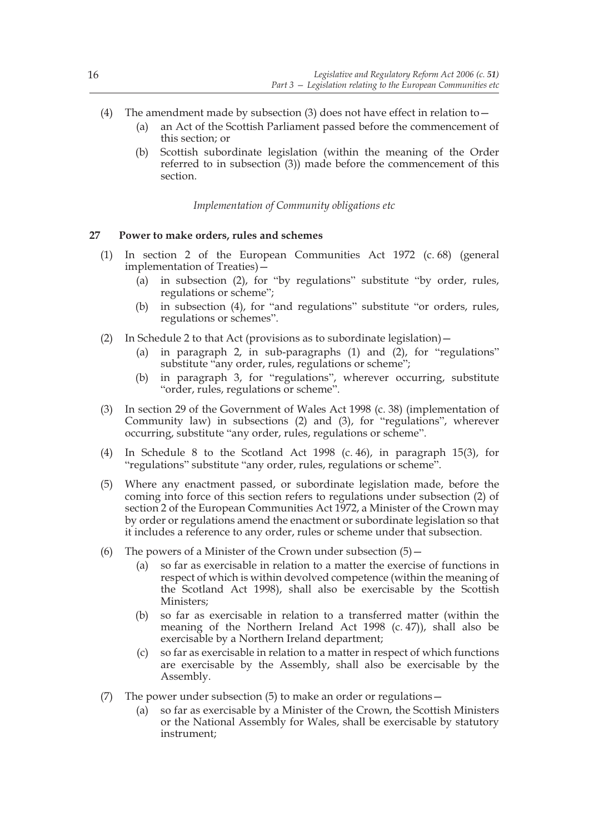- (4) The amendment made by subsection (3) does not have effect in relation to  $-$ 
	- (a) an Act of the Scottish Parliament passed before the commencement of this section; or
	- (b) Scottish subordinate legislation (within the meaning of the Order referred to in subsection (3)) made before the commencement of this section.

*Implementation of Community obligations etc*

#### **27 Power to make orders, rules and schemes**

- (1) In section 2 of the European Communities Act 1972 (c. 68) (general implementation of Treaties)—
	- (a) in subsection (2), for "by regulations" substitute "by order, rules, regulations or scheme";
	- (b) in subsection (4), for "and regulations" substitute "or orders, rules, regulations or schemes".
- (2) In Schedule 2 to that Act (provisions as to subordinate legislation)—
	- (a) in paragraph 2, in sub-paragraphs (1) and (2), for "regulations" substitute "any order, rules, regulations or scheme";
	- (b) in paragraph 3, for "regulations", wherever occurring, substitute "order, rules, regulations or scheme".
- (3) In section 29 of the Government of Wales Act 1998 (c. 38) (implementation of Community law) in subsections (2) and (3), for "regulations", wherever occurring, substitute "any order, rules, regulations or scheme".
- (4) In Schedule 8 to the Scotland Act 1998 (c. 46), in paragraph 15(3), for "regulations" substitute "any order, rules, regulations or scheme".
- (5) Where any enactment passed, or subordinate legislation made, before the coming into force of this section refers to regulations under subsection (2) of section 2 of the European Communities Act 1972, a Minister of the Crown may by order or regulations amend the enactment or subordinate legislation so that it includes a reference to any order, rules or scheme under that subsection.
- (6) The powers of a Minister of the Crown under subsection  $(5)$ 
	- (a) so far as exercisable in relation to a matter the exercise of functions in respect of which is within devolved competence (within the meaning of the Scotland Act 1998), shall also be exercisable by the Scottish Ministers;
	- (b) so far as exercisable in relation to a transferred matter (within the meaning of the Northern Ireland Act 1998 (c. 47)), shall also be exercisable by a Northern Ireland department;
	- (c) so far as exercisable in relation to a matter in respect of which functions are exercisable by the Assembly, shall also be exercisable by the Assembly.
- (7) The power under subsection  $(5)$  to make an order or regulations
	- (a) so far as exercisable by a Minister of the Crown, the Scottish Ministers or the National Assembly for Wales, shall be exercisable by statutory instrument;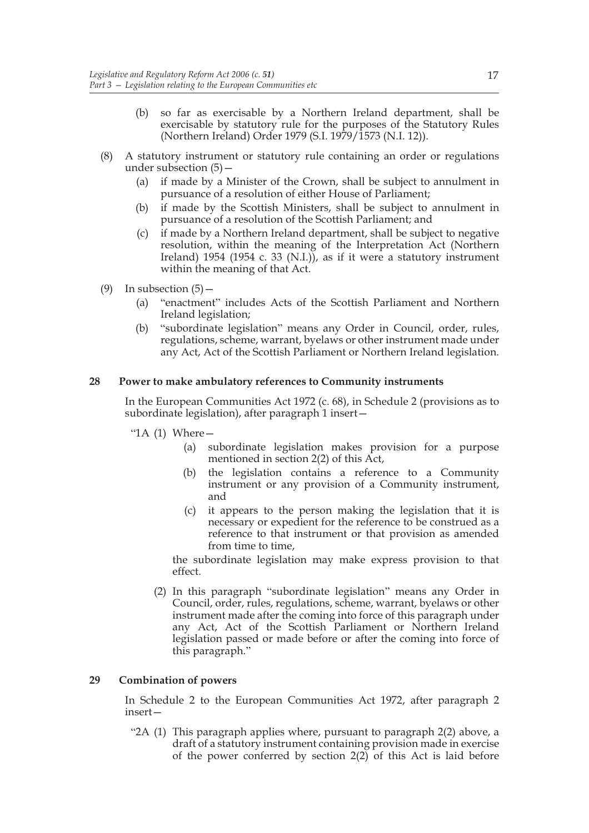- (b) so far as exercisable by a Northern Ireland department, shall be exercisable by statutory rule for the purposes of the Statutory Rules (Northern Ireland) Order 1979 (S.I. 1979/1573 (N.I. 12)).
- (8) A statutory instrument or statutory rule containing an order or regulations under subsection (5)—
	- (a) if made by a Minister of the Crown, shall be subject to annulment in pursuance of a resolution of either House of Parliament;
	- (b) if made by the Scottish Ministers, shall be subject to annulment in pursuance of a resolution of the Scottish Parliament; and
	- (c) if made by a Northern Ireland department, shall be subject to negative resolution, within the meaning of the Interpretation Act (Northern Ireland) 1954 (1954 c. 33 (N.I.)), as if it were a statutory instrument within the meaning of that Act.
- (9) In subsection  $(5)$ 
	- (a) "enactment" includes Acts of the Scottish Parliament and Northern Ireland legislation;
	- (b) "subordinate legislation" means any Order in Council, order, rules, regulations, scheme, warrant, byelaws or other instrument made under any Act, Act of the Scottish Parliament or Northern Ireland legislation.

#### **28 Power to make ambulatory references to Community instruments**

In the European Communities Act 1972 (c. 68), in Schedule 2 (provisions as to subordinate legislation), after paragraph 1 insert—

- " $1A(1)$  Where  $-$ 
	- (a) subordinate legislation makes provision for a purpose mentioned in section 2(2) of this Act,
	- (b) the legislation contains a reference to a Community instrument or any provision of a Community instrument, and
	- (c) it appears to the person making the legislation that it is necessary or expedient for the reference to be construed as a reference to that instrument or that provision as amended from time to time,

the subordinate legislation may make express provision to that effect.

(2) In this paragraph "subordinate legislation" means any Order in Council, order, rules, regulations, scheme, warrant, byelaws or other instrument made after the coming into force of this paragraph under any Act, Act of the Scottish Parliament or Northern Ireland legislation passed or made before or after the coming into force of this paragraph."

#### **29 Combination of powers**

In Schedule 2 to the European Communities Act 1972, after paragraph 2 insert—

"2A (1) This paragraph applies where, pursuant to paragraph 2(2) above, a draft of a statutory instrument containing provision made in exercise of the power conferred by section  $2(2)$  of this Act is laid before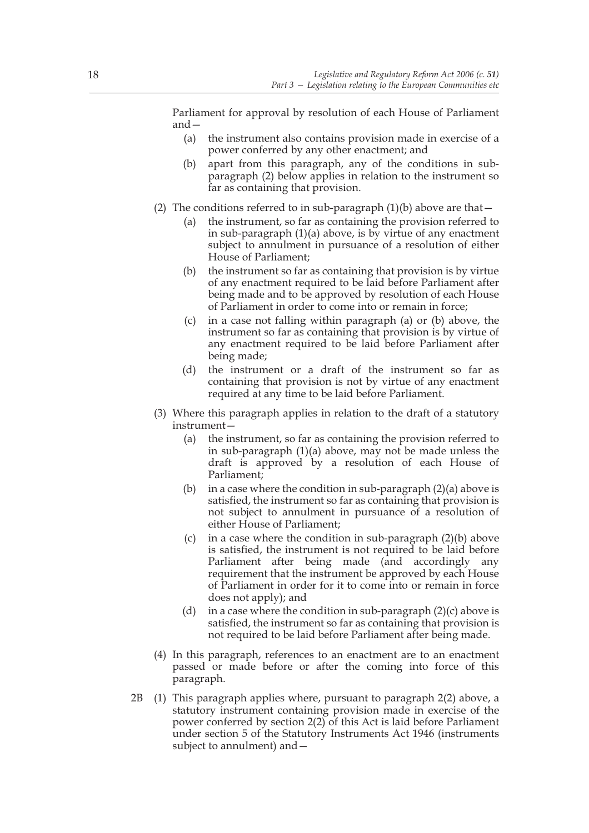Parliament for approval by resolution of each House of Parliament and—

- (a) the instrument also contains provision made in exercise of a power conferred by any other enactment; and
- (b) apart from this paragraph, any of the conditions in subparagraph (2) below applies in relation to the instrument so far as containing that provision.
- (2) The conditions referred to in sub-paragraph  $(1)(b)$  above are that  $-$ 
	- (a) the instrument, so far as containing the provision referred to in sub-paragraph  $(1)(a)$  above, is by virtue of any enactment subject to annulment in pursuance of a resolution of either House of Parliament;
	- (b) the instrument so far as containing that provision is by virtue of any enactment required to be laid before Parliament after being made and to be approved by resolution of each House of Parliament in order to come into or remain in force;
	- (c) in a case not falling within paragraph (a) or (b) above, the instrument so far as containing that provision is by virtue of any enactment required to be laid before Parliament after being made;
	- (d) the instrument or a draft of the instrument so far as containing that provision is not by virtue of any enactment required at any time to be laid before Parliament.
- (3) Where this paragraph applies in relation to the draft of a statutory instrument—
	- (a) the instrument, so far as containing the provision referred to in sub-paragraph (1)(a) above, may not be made unless the draft is approved by a resolution of each House of Parliament;
	- (b) in a case where the condition in sub-paragraph  $(2)(a)$  above is satisfied, the instrument so far as containing that provision is not subject to annulment in pursuance of a resolution of either House of Parliament;
	- (c) in a case where the condition in sub-paragraph  $(2)(b)$  above is satisfied, the instrument is not required to be laid before Parliament after being made (and accordingly any requirement that the instrument be approved by each House of Parliament in order for it to come into or remain in force does not apply); and
	- (d) in a case where the condition in sub-paragraph  $(2)(c)$  above is satisfied, the instrument so far as containing that provision is not required to be laid before Parliament after being made.
- (4) In this paragraph, references to an enactment are to an enactment passed or made before or after the coming into force of this paragraph.
- 2B (1) This paragraph applies where, pursuant to paragraph 2(2) above, a statutory instrument containing provision made in exercise of the power conferred by section 2(2) of this Act is laid before Parliament under section 5 of the Statutory Instruments Act 1946 (instruments subject to annulment) and—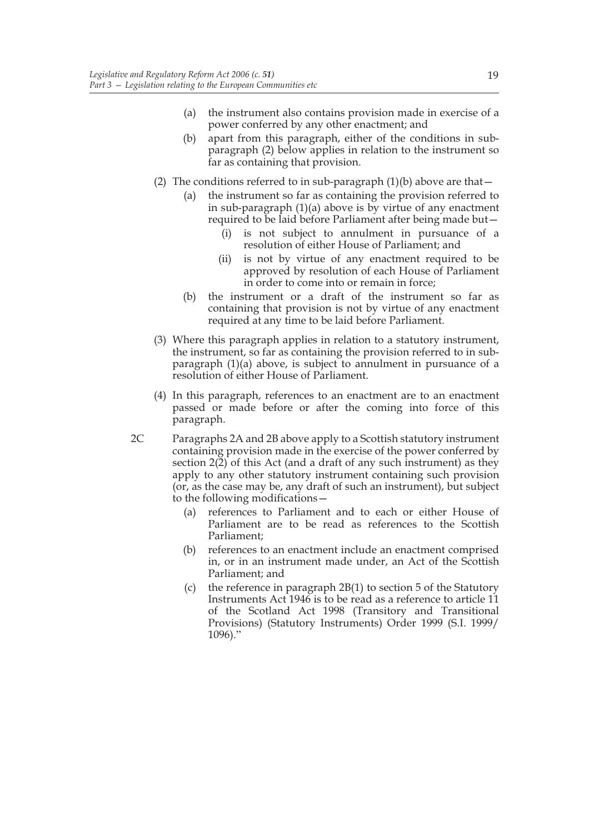- (a) the instrument also contains provision made in exercise of a power conferred by any other enactment; and
- (b) apart from this paragraph, either of the conditions in subparagraph (2) below applies in relation to the instrument so far as containing that provision.
- (2) The conditions referred to in sub-paragraph  $(1)(b)$  above are that  $-$ 
	- (a) the instrument so far as containing the provision referred to in sub-paragraph (1)(a) above is by virtue of any enactment required to be laid before Parliament after being made but—
		- (i) is not subject to annulment in pursuance of a resolution of either House of Parliament; and
		- (ii) is not by virtue of any enactment required to be approved by resolution of each House of Parliament in order to come into or remain in force;
	- (b) the instrument or a draft of the instrument so far as containing that provision is not by virtue of any enactment required at any time to be laid before Parliament.
- (3) Where this paragraph applies in relation to a statutory instrument, the instrument, so far as containing the provision referred to in subparagraph (1)(a) above, is subject to annulment in pursuance of a resolution of either House of Parliament.
- (4) In this paragraph, references to an enactment are to an enactment passed or made before or after the coming into force of this paragraph.
- 2C Paragraphs 2A and 2B above apply to a Scottish statutory instrument containing provision made in the exercise of the power conferred by section 2(2) of this Act (and a draft of any such instrument) as they apply to any other statutory instrument containing such provision (or, as the case may be, any draft of such an instrument), but subject to the following modifications—
	- (a) references to Parliament and to each or either House of Parliament are to be read as references to the Scottish Parliament;
	- (b) references to an enactment include an enactment comprised in, or in an instrument made under, an Act of the Scottish Parliament; and
	- (c) the reference in paragraph  $2B(1)$  to section 5 of the Statutory Instruments Act 1946 is to be read as a reference to article 11 of the Scotland Act 1998 (Transitory and Transitional Provisions) (Statutory Instruments) Order 1999 (S.I. 1999/ 1096)."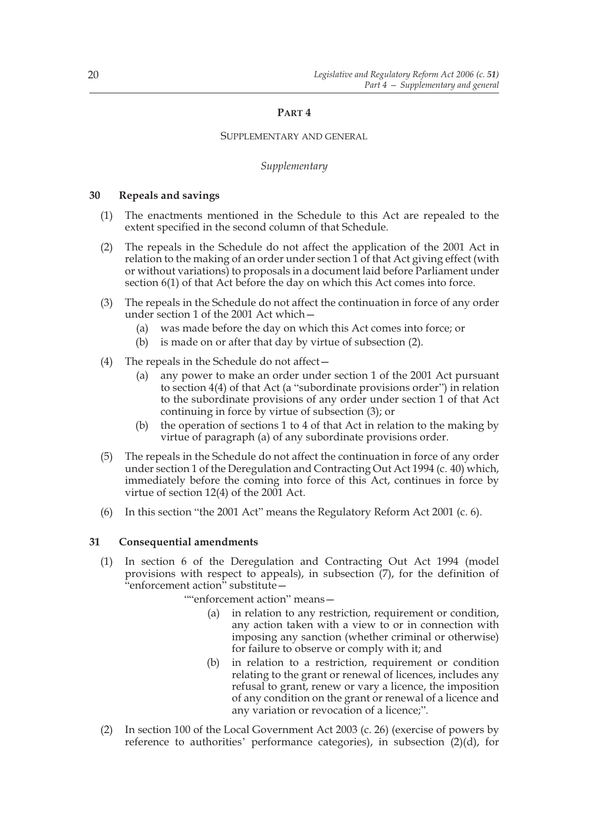## **PART 4**

#### SUPPLEMENTARY AND GENERAL

#### *Supplementary*

#### **30 Repeals and savings**

- (1) The enactments mentioned in the Schedule to this Act are repealed to the extent specified in the second column of that Schedule.
- (2) The repeals in the Schedule do not affect the application of the 2001 Act in relation to the making of an order under section 1 of that Act giving effect (with or without variations) to proposals in a document laid before Parliament under section 6(1) of that Act before the day on which this Act comes into force.
- (3) The repeals in the Schedule do not affect the continuation in force of any order under section 1 of the 2001 Act which—
	- (a) was made before the day on which this Act comes into force; or
	- (b) is made on or after that day by virtue of subsection (2).
- (4) The repeals in the Schedule do not affect—
	- (a) any power to make an order under section 1 of the 2001 Act pursuant to section 4(4) of that Act (a "subordinate provisions order") in relation to the subordinate provisions of any order under section 1 of that Act continuing in force by virtue of subsection (3); or
	- (b) the operation of sections 1 to 4 of that Act in relation to the making by virtue of paragraph (a) of any subordinate provisions order.
- (5) The repeals in the Schedule do not affect the continuation in force of any order under section 1 of the Deregulation and Contracting Out Act 1994 (c. 40) which, immediately before the coming into force of this Act, continues in force by virtue of section 12(4) of the 2001 Act.
- (6) In this section "the 2001 Act" means the Regulatory Reform Act 2001 (c. 6).

#### **31 Consequential amendments**

(1) In section 6 of the Deregulation and Contracting Out Act 1994 (model provisions with respect to appeals), in subsection (7), for the definition of "enforcement action" substitute—

""enforcement action" means—

- (a) in relation to any restriction, requirement or condition, any action taken with a view to or in connection with imposing any sanction (whether criminal or otherwise) for failure to observe or comply with it; and
- (b) in relation to a restriction, requirement or condition relating to the grant or renewal of licences, includes any refusal to grant, renew or vary a licence, the imposition of any condition on the grant or renewal of a licence and any variation or revocation of a licence;".
- (2) In section 100 of the Local Government Act 2003 (c. 26) (exercise of powers by reference to authorities' performance categories), in subsection  $(2)(d)$ , for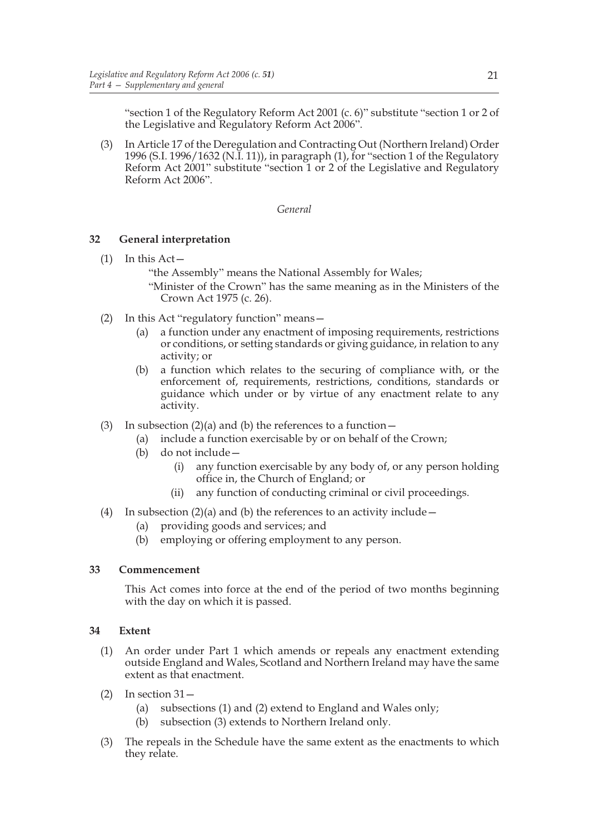"section 1 of the Regulatory Reform Act 2001 (c. 6)" substitute "section 1 or 2 of the Legislative and Regulatory Reform Act 2006".

(3) In Article 17 of the Deregulation and Contracting Out (Northern Ireland) Order 1996 (S.I. 1996/1632 (N.I. 11)), in paragraph (1), for "section 1 of the Regulatory Reform Act 2001" substitute "section 1 or 2 of the Legislative and Regulatory Reform Act 2006".

#### *General*

## **32 General interpretation**

- $(1)$  In this Act
	- "the Assembly" means the National Assembly for Wales;
	- "Minister of the Crown" has the same meaning as in the Ministers of the Crown Act 1975 (c. 26).
- (2) In this Act "regulatory function" means—
	- (a) a function under any enactment of imposing requirements, restrictions or conditions, or setting standards or giving guidance, in relation to any activity; or
	- (b) a function which relates to the securing of compliance with, or the enforcement of, requirements, restrictions, conditions, standards or guidance which under or by virtue of any enactment relate to any activity.
- (3) In subsection  $(2)(a)$  and (b) the references to a function  $-$ 
	- (a) include a function exercisable by or on behalf of the Crown;
	- (b) do not include—
		- (i) any function exercisable by any body of, or any person holding office in, the Church of England; or
		- (ii) any function of conducting criminal or civil proceedings.
- (4) In subsection  $(2)(a)$  and (b) the references to an activity include  $-$ 
	- (a) providing goods and services; and
	- (b) employing or offering employment to any person.

#### **33 Commencement**

This Act comes into force at the end of the period of two months beginning with the day on which it is passed.

#### **34 Extent**

- (1) An order under Part 1 which amends or repeals any enactment extending outside England and Wales, Scotland and Northern Ireland may have the same extent as that enactment.
- $(2)$  In section  $31-$ 
	- (a) subsections (1) and (2) extend to England and Wales only;
	- (b) subsection (3) extends to Northern Ireland only.
- (3) The repeals in the Schedule have the same extent as the enactments to which they relate.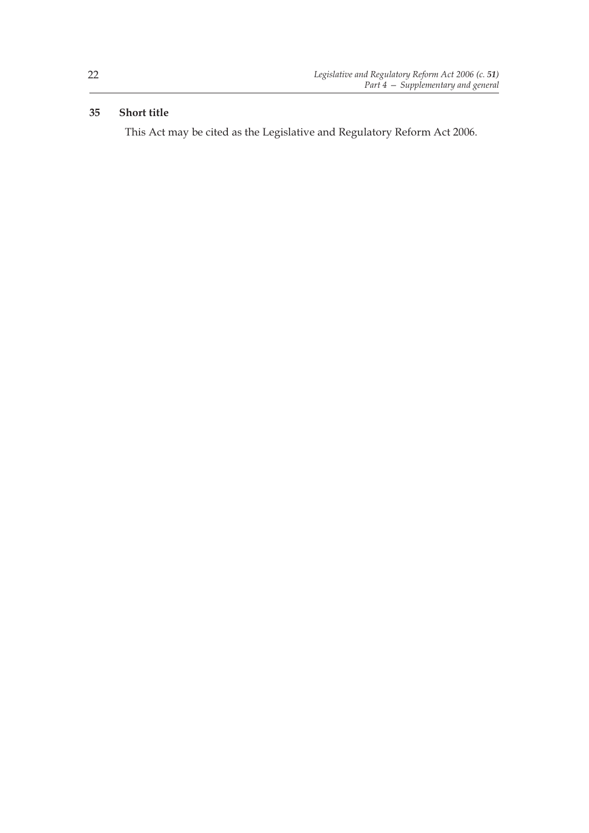## **35 Short title**

This Act may be cited as the Legislative and Regulatory Reform Act 2006.